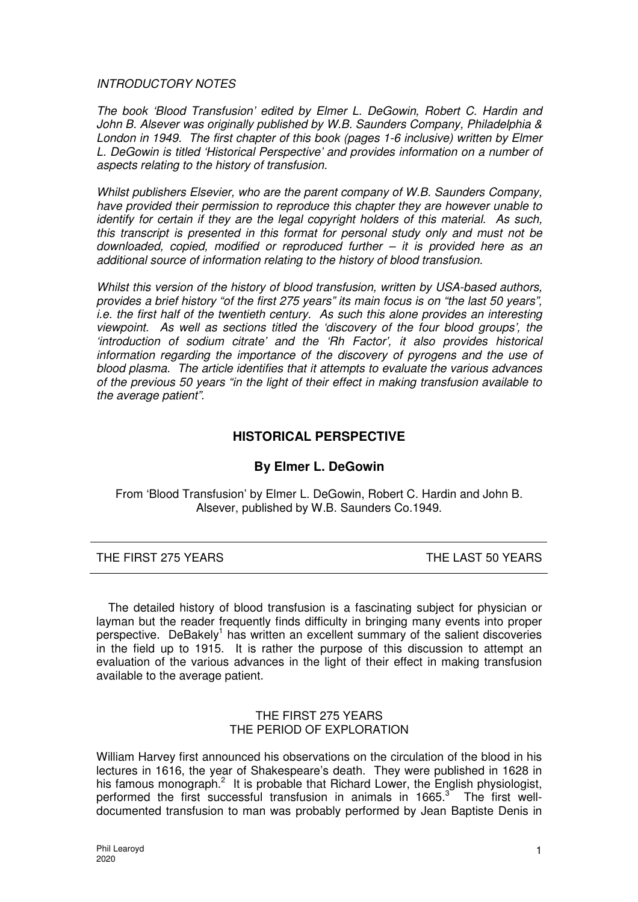INTRODUCTORY NOTES

The book 'Blood Transfusion' edited by Elmer L. DeGowin, Robert C. Hardin and John B. Alsever was originally published by W.B. Saunders Company, Philadelphia & London in 1949. The first chapter of this book (pages 1-6 inclusive) written by Elmer L. DeGowin is titled 'Historical Perspective' and provides information on a number of aspects relating to the history of transfusion.

Whilst publishers Elsevier, who are the parent company of W.B. Saunders Company, have provided their permission to reproduce this chapter they are however unable to identify for certain if they are the legal copyright holders of this material. As such, this transcript is presented in this format for personal study only and must not be downloaded, copied, modified or reproduced further – it is provided here as an additional source of information relating to the history of blood transfusion.

Whilst this version of the history of blood transfusion, written by USA-based authors, provides a brief history "of the first 275 years" its main focus is on "the last 50 years", i.e. the first half of the twentieth century. As such this alone provides an interesting viewpoint. As well as sections titled the 'discovery of the four blood groups', the 'introduction of sodium citrate' and the 'Rh Factor', it also provides historical information regarding the importance of the discovery of pyrogens and the use of blood plasma. The article identifies that it attempts to evaluate the various advances of the previous 50 years "in the light of their effect in making transfusion available to the average patient".

# **HISTORICAL PERSPECTIVE**

# **By Elmer L. DeGowin**

From 'Blood Transfusion' by Elmer L. DeGowin, Robert C. Hardin and John B. Alsever, published by W.B. Saunders Co.1949.

# THE FIRST 275 YEARS THE LAST 50 YEARS

The detailed history of blood transfusion is a fascinating subject for physician or layman but the reader frequently finds difficulty in bringing many events into proper perspective. DeBakely<sup>1</sup> has written an excellent summary of the salient discoveries in the field up to 1915. It is rather the purpose of this discussion to attempt an evaluation of the various advances in the light of their effect in making transfusion available to the average patient.

## THE FIRST 275 YEARS THE PERIOD OF EXPLORATION

William Harvey first announced his observations on the circulation of the blood in his lectures in 1616, the year of Shakespeare's death. They were published in 1628 in his famous monograph.<sup>2</sup> It is probable that Richard Lower, the English physiologist, performed the first successful transfusion in animals in 1665. $3$  The first welldocumented transfusion to man was probably performed by Jean Baptiste Denis in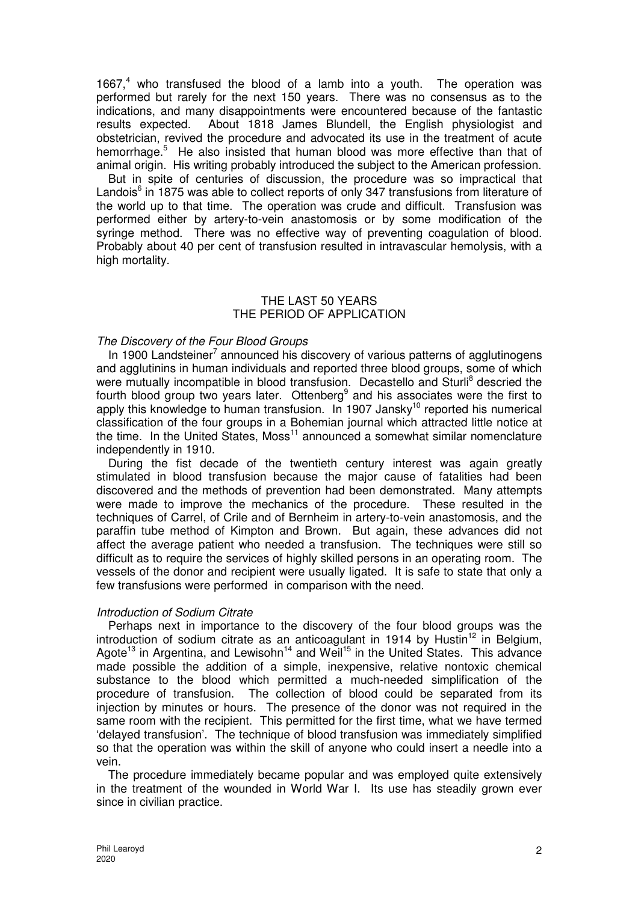1667,<sup>4</sup> who transfused the blood of a lamb into a youth. The operation was performed but rarely for the next 150 years. There was no consensus as to the indications, and many disappointments were encountered because of the fantastic results expected. About 1818 James Blundell, the English physiologist and obstetrician, revived the procedure and advocated its use in the treatment of acute hemorrhage.<sup>5</sup> He also insisted that human blood was more effective than that of animal origin. His writing probably introduced the subject to the American profession.

But in spite of centuries of discussion, the procedure was so impractical that Landois<sup>6</sup> in 1875 was able to collect reports of only 347 transfusions from literature of the world up to that time. The operation was crude and difficult. Transfusion was performed either by artery-to-vein anastomosis or by some modification of the syringe method. There was no effective way of preventing coagulation of blood. Probably about 40 per cent of transfusion resulted in intravascular hemolysis, with a high mortality.

## THE LAST 50 YEARS THE PERIOD OF APPLICATION

## The Discovery of the Four Blood Groups

In 1900 Landsteiner<sup>7</sup> announced his discovery of various patterns of agglutinogens and agglutinins in human individuals and reported three blood groups, some of which were mutually incompatible in blood transfusion. Decastello and Sturli<sup>8</sup> descried the fourth blood group two years later. Ottenberg<sup>9</sup> and his associates were the first to apply this knowledge to human transfusion. In 1907 Jansky<sup>10</sup> reported his numerical classification of the four groups in a Bohemian journal which attracted little notice at the time. In the United States,  $Moss<sup>11</sup>$  announced a somewhat similar nomenclature independently in 1910.

During the fist decade of the twentieth century interest was again greatly stimulated in blood transfusion because the major cause of fatalities had been discovered and the methods of prevention had been demonstrated. Many attempts were made to improve the mechanics of the procedure. These resulted in the techniques of Carrel, of Crile and of Bernheim in artery-to-vein anastomosis, and the paraffin tube method of Kimpton and Brown. But again, these advances did not affect the average patient who needed a transfusion. The techniques were still so difficult as to require the services of highly skilled persons in an operating room. The vessels of the donor and recipient were usually ligated. It is safe to state that only a few transfusions were performed in comparison with the need.

# Introduction of Sodium Citrate

Perhaps next in importance to the discovery of the four blood groups was the introduction of sodium citrate as an anticoagulant in 1914 by Hustin<sup>12</sup> in Belgium, Agote<sup>13</sup> in Argentina, and Lewisohn<sup>14</sup> and Weil<sup>15</sup> in the United States. This advance made possible the addition of a simple, inexpensive, relative nontoxic chemical substance to the blood which permitted a much-needed simplification of the procedure of transfusion. The collection of blood could be separated from its injection by minutes or hours. The presence of the donor was not required in the same room with the recipient. This permitted for the first time, what we have termed 'delayed transfusion'. The technique of blood transfusion was immediately simplified so that the operation was within the skill of anyone who could insert a needle into a vein.

The procedure immediately became popular and was employed quite extensively in the treatment of the wounded in World War I. Its use has steadily grown ever since in civilian practice.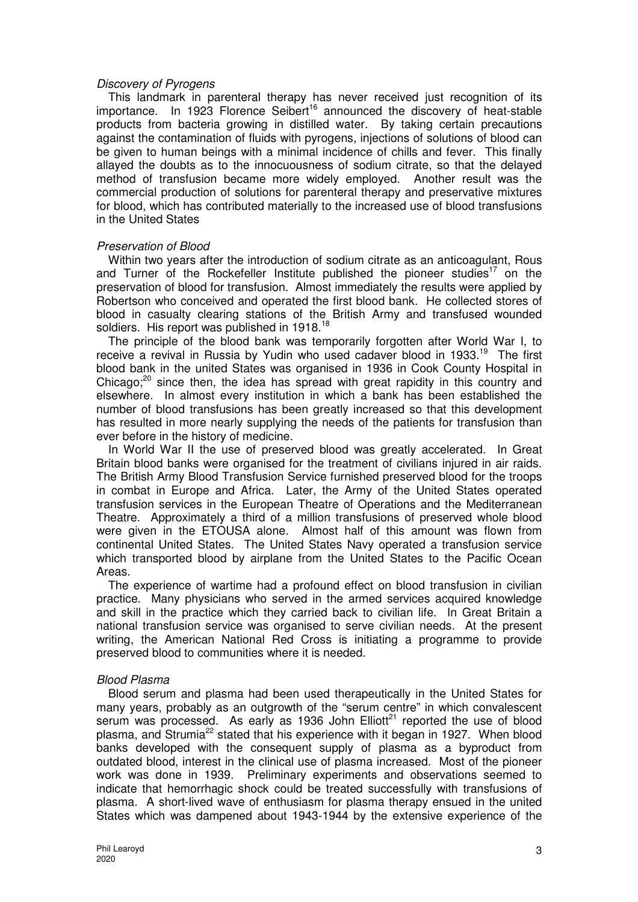#### Discovery of Pyrogens

This landmark in parenteral therapy has never received just recognition of its  $im$ portance. In 1923 Florence Seibert<sup>16</sup> announced the discovery of heat-stable products from bacteria growing in distilled water. By taking certain precautions against the contamination of fluids with pyrogens, injections of solutions of blood can be given to human beings with a minimal incidence of chills and fever. This finally allayed the doubts as to the innocuousness of sodium citrate, so that the delayed method of transfusion became more widely employed. Another result was the commercial production of solutions for parenteral therapy and preservative mixtures for blood, which has contributed materially to the increased use of blood transfusions in the United States

# Preservation of Blood

Within two years after the introduction of sodium citrate as an anticoagulant, Rous and Turner of the Rockefeller Institute published the pioneer studies<sup>17</sup> on the preservation of blood for transfusion. Almost immediately the results were applied by Robertson who conceived and operated the first blood bank. He collected stores of blood in casualty clearing stations of the British Army and transfused wounded soldiers. His report was published in 1918.<sup>18</sup>

The principle of the blood bank was temporarily forgotten after World War I, to receive a revival in Russia by Yudin who used cadaver blood in 1933.<sup>19</sup> The first blood bank in the united States was organised in 1936 in Cook County Hospital in Chicago; $20$  since then, the idea has spread with great rapidity in this country and elsewhere. In almost every institution in which a bank has been established the number of blood transfusions has been greatly increased so that this development has resulted in more nearly supplying the needs of the patients for transfusion than ever before in the history of medicine.

In World War II the use of preserved blood was greatly accelerated. In Great Britain blood banks were organised for the treatment of civilians injured in air raids. The British Army Blood Transfusion Service furnished preserved blood for the troops in combat in Europe and Africa. Later, the Army of the United States operated transfusion services in the European Theatre of Operations and the Mediterranean Theatre. Approximately a third of a million transfusions of preserved whole blood were given in the ETOUSA alone. Almost half of this amount was flown from continental United States. The United States Navy operated a transfusion service which transported blood by airplane from the United States to the Pacific Ocean Areas.

The experience of wartime had a profound effect on blood transfusion in civilian practice. Many physicians who served in the armed services acquired knowledge and skill in the practice which they carried back to civilian life. In Great Britain a national transfusion service was organised to serve civilian needs. At the present writing, the American National Red Cross is initiating a programme to provide preserved blood to communities where it is needed.

# Blood Plasma

Blood serum and plasma had been used therapeutically in the United States for many years, probably as an outgrowth of the "serum centre" in which convalescent serum was processed. As early as 1936 John  $Elliot^{21}$  reported the use of blood plasma, and Strumia<sup>22</sup> stated that his experience with it began in 1927. When blood banks developed with the consequent supply of plasma as a byproduct from outdated blood, interest in the clinical use of plasma increased. Most of the pioneer work was done in 1939. Preliminary experiments and observations seemed to indicate that hemorrhagic shock could be treated successfully with transfusions of plasma. A short-lived wave of enthusiasm for plasma therapy ensued in the united States which was dampened about 1943-1944 by the extensive experience of the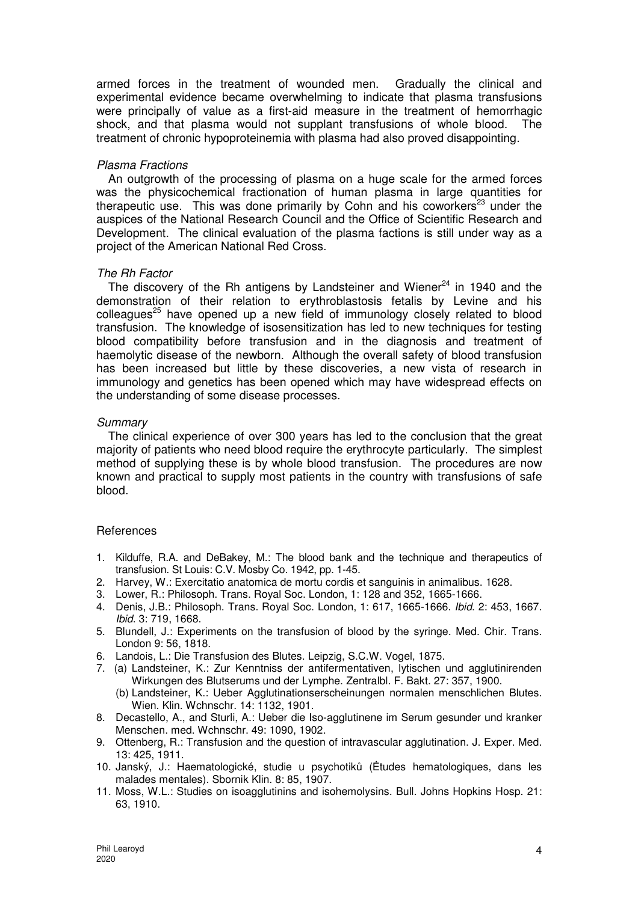armed forces in the treatment of wounded men. Gradually the clinical and experimental evidence became overwhelming to indicate that plasma transfusions were principally of value as a first-aid measure in the treatment of hemorrhagic shock, and that plasma would not supplant transfusions of whole blood. The treatment of chronic hypoproteinemia with plasma had also proved disappointing.

## Plasma Fractions

An outgrowth of the processing of plasma on a huge scale for the armed forces was the physicochemical fractionation of human plasma in large quantities for therapeutic use. This was done primarily by Cohn and his coworkers<sup>23</sup> under the auspices of the National Research Council and the Office of Scientific Research and Development. The clinical evaluation of the plasma factions is still under way as a project of the American National Red Cross.

## The Rh Factor

The discovery of the Rh antigens by Landsteiner and Wiener $^{24}$  in 1940 and the demonstration of their relation to erythroblastosis fetalis by Levine and his colleagues<sup>25</sup> have opened up a new field of immunology closely related to blood transfusion. The knowledge of isosensitization has led to new techniques for testing blood compatibility before transfusion and in the diagnosis and treatment of haemolytic disease of the newborn. Although the overall safety of blood transfusion has been increased but little by these discoveries, a new vista of research in immunology and genetics has been opened which may have widespread effects on the understanding of some disease processes.

## **Summary**

The clinical experience of over 300 years has led to the conclusion that the great majority of patients who need blood require the erythrocyte particularly. The simplest method of supplying these is by whole blood transfusion. The procedures are now known and practical to supply most patients in the country with transfusions of safe blood.

#### References

- 1. Kilduffe, R.A. and DeBakey, M.: The blood bank and the technique and therapeutics of transfusion. St Louis: C.V. Mosby Co. 1942, pp. 1-45.
- 2. Harvey, W.: Exercitatio anatomica de mortu cordis et sanguinis in animalibus. 1628.
- 3. Lower, R.: Philosoph. Trans. Royal Soc. London, 1: 128 and 352, 1665-1666.
- 4. Denis, J.B.: Philosoph. Trans. Royal Soc. London, 1: 617, 1665-1666. Ibid. 2: 453, 1667. Ibid. 3: 719, 1668.
- 5. Blundell, J.: Experiments on the transfusion of blood by the syringe. Med. Chir. Trans. London 9: 56, 1818.
- 6. Landois, L.: Die Transfusion des Blutes. Leipzig, S.C.W. Vogel, 1875.
- 7. (a) Landsteiner, K.: Zur Kenntniss der antifermentativen, lytischen und agglutinirenden Wirkungen des Blutserums und der Lymphe. Zentralbl. F. Bakt. 27: 357, 1900.
	- (b) Landsteiner, K.: Ueber Agglutinationserscheinungen normalen menschlichen Blutes. Wien. Klin. Wchnschr. 14: 1132, 1901.
- 8. Decastello, A., and Sturli, A.: Ueber die Iso-agglutinene im Serum gesunder und kranker Menschen. med. Wchnschr. 49: 1090, 1902.
- 9. Ottenberg, R.: Transfusion and the question of intravascular agglutination. J. Exper. Med. 13: 425, 1911.
- 10. Janský, J.: Haematologické, studie u psychotiků (Ėtudes hematologiques, dans les malades mentales). Sbornik Klin. 8: 85, 1907.
- 11. Moss, W.L.: Studies on isoagglutinins and isohemolysins. Bull. Johns Hopkins Hosp. 21: 63, 1910.